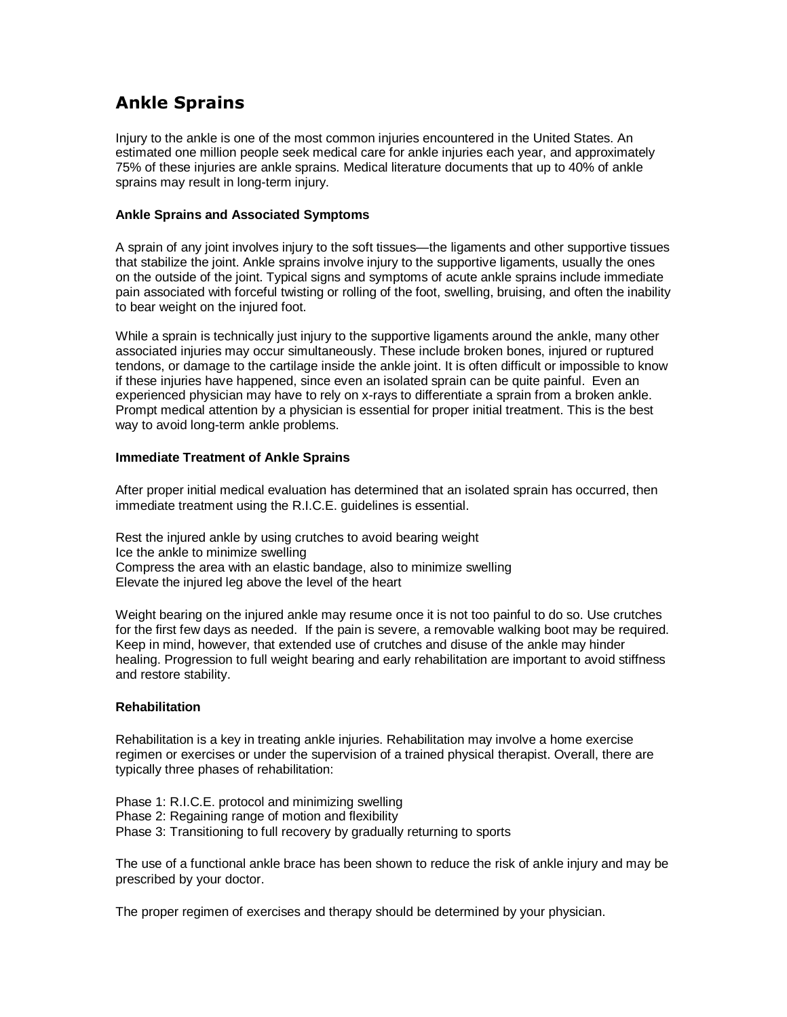# Ankle Sprains

Injury to the ankle is one of the most common injuries encountered in the United States. An estimated one million people seek medical care for ankle injuries each year, and approximately 75% of these injuries are ankle sprains. Medical literature documents that up to 40% of ankle sprains may result in long-term injury.

### **Ankle Sprains and Associated Symptoms**

A sprain of any joint involves injury to the soft tissues—the ligaments and other supportive tissues that stabilize the joint. Ankle sprains involve injury to the supportive ligaments, usually the ones on the outside of the joint. Typical signs and symptoms of acute ankle sprains include immediate pain associated with forceful twisting or rolling of the foot, swelling, bruising, and often the inability to bear weight on the injured foot.

While a sprain is technically just injury to the supportive ligaments around the ankle, many other associated injuries may occur simultaneously. These include broken bones, injured or ruptured tendons, or damage to the cartilage inside the ankle joint. It is often difficult or impossible to know if these injuries have happened, since even an isolated sprain can be quite painful. Even an experienced physician may have to rely on x-rays to differentiate a sprain from a broken ankle. Prompt medical attention by a physician is essential for proper initial treatment. This is the best way to avoid long-term ankle problems.

### **Immediate Treatment of Ankle Sprains**

After proper initial medical evaluation has determined that an isolated sprain has occurred, then immediate treatment using the R.I.C.E. guidelines is essential.

Rest the injured ankle by using crutches to avoid bearing weight Ice the ankle to minimize swelling Compress the area with an elastic bandage, also to minimize swelling Elevate the injured leg above the level of the heart

Weight bearing on the injured ankle may resume once it is not too painful to do so. Use crutches for the first few days as needed. If the pain is severe, a removable walking boot may be required. Keep in mind, however, that extended use of crutches and disuse of the ankle may hinder healing. Progression to full weight bearing and early rehabilitation are important to avoid stiffness and restore stability.

## **Rehabilitation**

Rehabilitation is a key in treating ankle injuries. Rehabilitation may involve a home exercise regimen or exercises or under the supervision of a trained physical therapist. Overall, there are typically three phases of rehabilitation:

Phase 1: R.I.C.E. protocol and minimizing swelling Phase 2: Regaining range of motion and flexibility Phase 3: Transitioning to full recovery by gradually returning to sports

The use of a functional ankle brace has been shown to reduce the risk of ankle injury and may be prescribed by your doctor.

The proper regimen of exercises and therapy should be determined by your physician.